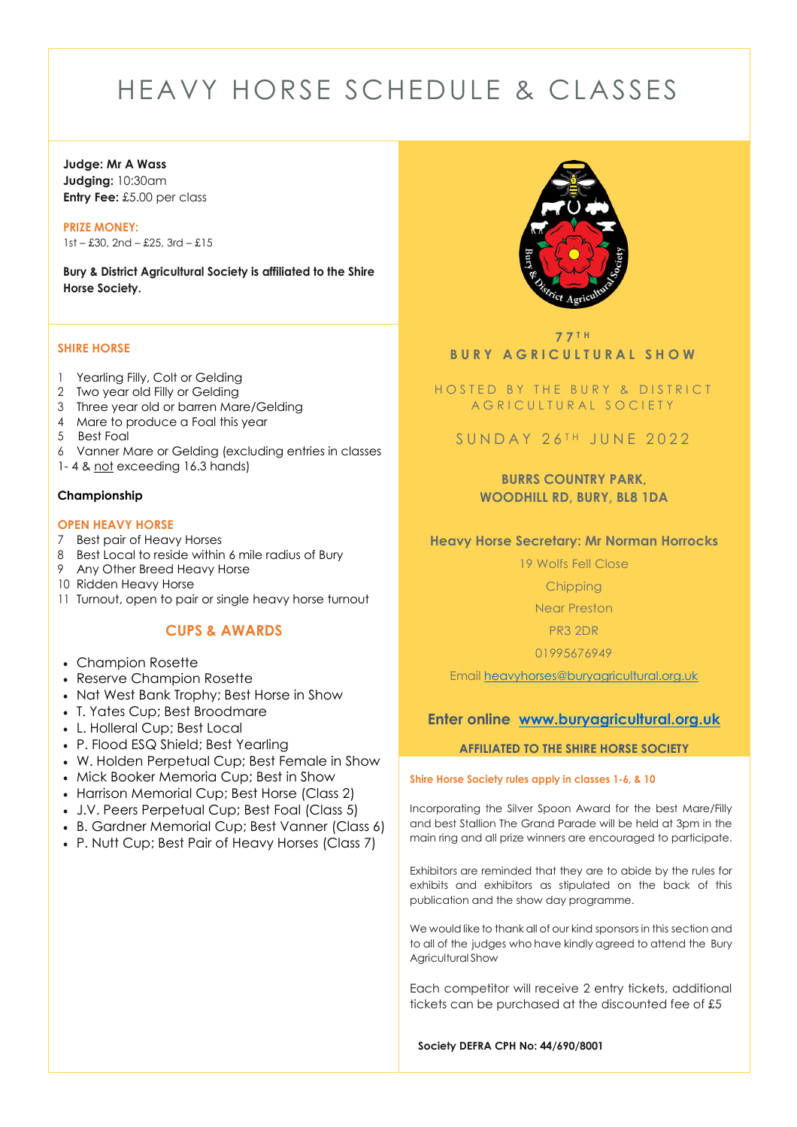# HEAVY HORSE SCHEDULE & CLASSES

# **Judge: Mr A Wass Judging:** 10:30am **Entry Fee:** £5.00 per class

**PRIZE MONEY:** 1st – £30, 2nd – £25, 3rd – £15

**Bury & District Agricultural Society is affiliated to the Shire Horse Society.** 

#### **SHIRE HORSE**

- 1 Yearling Filly, Colt or Gelding
- 2 Two year old Filly or Gelding
- 3 Three year old or barren Mare/Gelding
- 4 Mare to produce a Foal this year
- 5 Best Foal
- 6 Vanner Mare or Gelding (excluding entries in classes
- 1- 4 & not exceeding 16.3 hands)

# **Championship**

# **OPEN HEAVY HORSE**

- 7 Best pair of Heavy Horses
- 8 Best Local to reside within 6 mile radius of Bury
- 9 Any Other Breed Heavy Horse
- 10 Ridden Heavy Horse
- 11 Turnout, open to pair or single heavy horse turnout

# **CUPS & AWARDS**

- Champion Rosette
- Reserve Champion Rosette
- Nat West Bank Trophy; Best Horse in Show
- T. Yates Cup; Best Broodmare
- L. Holleral Cup; Best Local
- P. Flood ESQ Shield; Best Yearling
- W. Holden Perpetual Cup; Best Female in Show
- Mick Booker Memoria Cup; Best in Show
- Harrison Memorial Cup; Best Horse (Class 2)
- J.V. Peers Perpetual Cup; Best Foal (Class 5)
- B. Gardner Memorial Cup; Best Vanner (Class 6)
- P. Nutt Cup; Best Pair of Heavy Horses (Class 7)



**7 7 T H B U R Y A G R I C U L T U R A L S H O W**

HOSTED BY THE BURY & DISTRICT A G R I C U L T U R A L S O C I E T Y

# SUNDAY 26TH JUNE 2022

# **BURRS COUNTRY PARK, WOODHILL RD, BURY, BL8 1DA**

# **Heavy Horse Secretary: Mr Norman Horrocks**

19 Wolfs Fell Close

**Chipping** 

Near Preston

PR3 2DR

01995676949

Email [heavyhorses@buryagricultural.org.uk](mailto:heavyhorses@buryagricultural.org.uk)

# **Enter online [www.buryagricultural.org.uk](http://www.buryagricultural.org.uk/)**

#### **AFFILIATED TO THE SHIRE HORSE SOCIETY**

#### **Shire Horse Society rules apply in classes 1-6, & 10**

Incorporating the Silver Spoon Award for the best Mare/Filly and best Stallion The Grand Parade will be held at 3pm in the main ring and all prize winners are encouraged to participate.

Exhibitors are reminded that they are to abide by the rules for exhibits and exhibitors as stipulated on the back of this publication and the show day programme.

We would like to thank all of our kind sponsors in this section and to all of the judges who have kindly agreed to attend the Bury Agricultural Show

Each competitor will receive 2 entry tickets, additional tickets can be purchased at the discounted fee of £5

 **Society DEFRA CPH No: 44/690/8001**